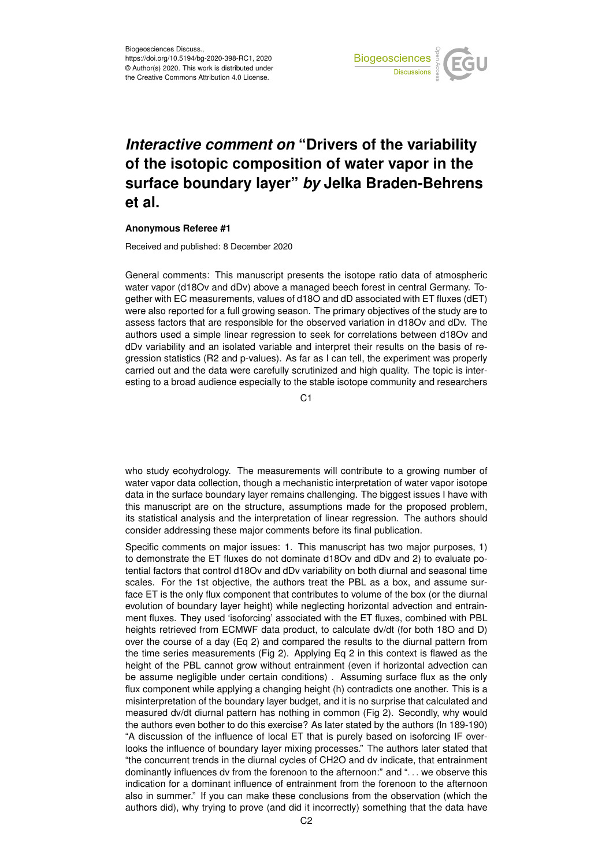

## *Interactive comment on* **"Drivers of the variability of the isotopic composition of water vapor in the surface boundary layer"** *by* **Jelka Braden-Behrens et al.**

## **Anonymous Referee #1**

Received and published: 8 December 2020

General comments: This manuscript presents the isotope ratio data of atmospheric water vapor (d18Ov and dDv) above a managed beech forest in central Germany. Together with EC measurements, values of d18O and dD associated with ET fluxes (dET) were also reported for a full growing season. The primary objectives of the study are to assess factors that are responsible for the observed variation in d18Ov and dDv. The authors used a simple linear regression to seek for correlations between d18Ov and dDv variability and an isolated variable and interpret their results on the basis of regression statistics (R2 and p-values). As far as I can tell, the experiment was properly carried out and the data were carefully scrutinized and high quality. The topic is interesting to a broad audience especially to the stable isotope community and researchers

C<sub>1</sub>

who study ecohydrology. The measurements will contribute to a growing number of water vapor data collection, though a mechanistic interpretation of water vapor isotope data in the surface boundary layer remains challenging. The biggest issues I have with this manuscript are on the structure, assumptions made for the proposed problem, its statistical analysis and the interpretation of linear regression. The authors should consider addressing these major comments before its final publication.

Specific comments on major issues: 1. This manuscript has two major purposes, 1) to demonstrate the ET fluxes do not dominate d18Ov and dDv and 2) to evaluate potential factors that control d18Ov and dDv variability on both diurnal and seasonal time scales. For the 1st objective, the authors treat the PBL as a box, and assume surface ET is the only flux component that contributes to volume of the box (or the diurnal evolution of boundary layer height) while neglecting horizontal advection and entrainment fluxes. They used 'isoforcing' associated with the ET fluxes, combined with PBL heights retrieved from ECMWF data product, to calculate dv/dt (for both 18O and D) over the course of a day (Eq 2) and compared the results to the diurnal pattern from the time series measurements (Fig 2). Applying Eq 2 in this context is flawed as the height of the PBL cannot grow without entrainment (even if horizontal advection can be assume negligible under certain conditions) . Assuming surface flux as the only flux component while applying a changing height (h) contradicts one another. This is a misinterpretation of the boundary layer budget, and it is no surprise that calculated and measured dv/dt diurnal pattern has nothing in common (Fig 2). Secondly, why would the authors even bother to do this exercise? As later stated by the authors (ln 189-190) "A discussion of the influence of local ET that is purely based on isoforcing IF overlooks the influence of boundary layer mixing processes." The authors later stated that "the concurrent trends in the diurnal cycles of CH2O and dv indicate, that entrainment dominantly influences dv from the forenoon to the afternoon:" and ". . . we observe this indication for a dominant influence of entrainment from the forenoon to the afternoon also in summer." If you can make these conclusions from the observation (which the authors did), why trying to prove (and did it incorrectly) something that the data have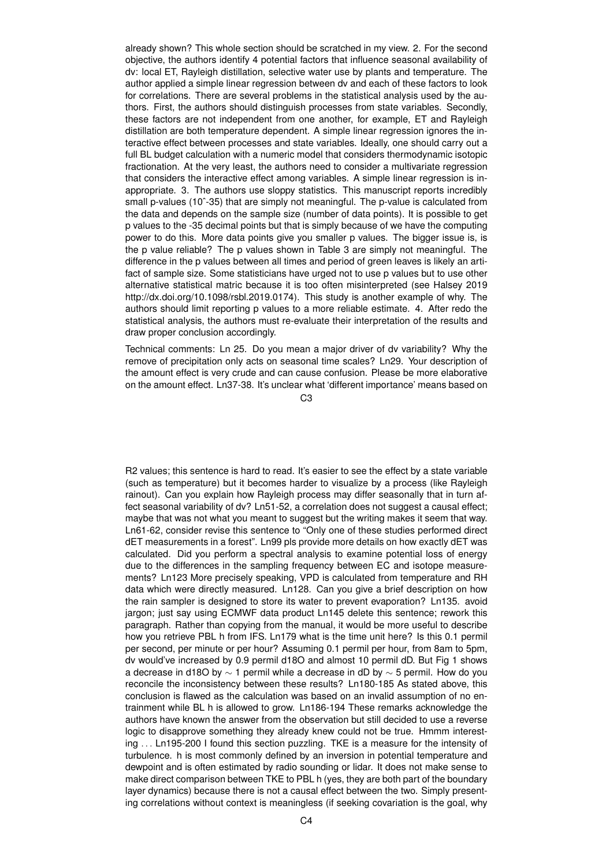already shown? This whole section should be scratched in my view. 2. For the second objective, the authors identify 4 potential factors that influence seasonal availability of dv: local ET, Rayleigh distillation, selective water use by plants and temperature. The author applied a simple linear regression between dv and each of these factors to look for correlations. There are several problems in the statistical analysis used by the authors. First, the authors should distinguish processes from state variables. Secondly, these factors are not independent from one another, for example, ET and Rayleigh distillation are both temperature dependent. A simple linear regression ignores the interactive effect between processes and state variables. Ideally, one should carry out a full BL budget calculation with a numeric model that considers thermodynamic isotopic fractionation. At the very least, the authors need to consider a multivariate regression that considers the interactive effect among variables. A simple linear regression is inappropriate. 3. The authors use sloppy statistics. This manuscript reports incredibly small p-values (10 $^{\circ}$ -35) that are simply not meaningful. The p-value is calculated from the data and depends on the sample size (number of data points). It is possible to get p values to the -35 decimal points but that is simply because of we have the computing power to do this. More data points give you smaller p values. The bigger issue is, is the p value reliable? The p values shown in Table 3 are simply not meaningful. The difference in the p values between all times and period of green leaves is likely an artifact of sample size. Some statisticians have urged not to use p values but to use other alternative statistical matric because it is too often misinterpreted (see Halsey 2019 http://dx.doi.org/10.1098/rsbl.2019.0174). This study is another example of why. The authors should limit reporting p values to a more reliable estimate. 4. After redo the statistical analysis, the authors must re-evaluate their interpretation of the results and draw proper conclusion accordingly.

Technical comments: Ln 25. Do you mean a major driver of dv variability? Why the remove of precipitation only acts on seasonal time scales? Ln29. Your description of the amount effect is very crude and can cause confusion. Please be more elaborative on the amount effect. Ln37-38. It's unclear what 'different importance' means based on

 $C<sub>3</sub>$ 

R2 values; this sentence is hard to read. It's easier to see the effect by a state variable (such as temperature) but it becomes harder to visualize by a process (like Rayleigh rainout). Can you explain how Rayleigh process may differ seasonally that in turn affect seasonal variability of dv? Ln51-52, a correlation does not suggest a causal effect; maybe that was not what you meant to suggest but the writing makes it seem that way. Ln61-62, consider revise this sentence to "Only one of these studies performed direct dET measurements in a forest". Ln99 pls provide more details on how exactly dET was calculated. Did you perform a spectral analysis to examine potential loss of energy due to the differences in the sampling frequency between EC and isotope measurements? Ln123 More precisely speaking, VPD is calculated from temperature and RH data which were directly measured. Ln128. Can you give a brief description on how the rain sampler is designed to store its water to prevent evaporation? Ln135. avoid jargon; just say using ECMWF data product Ln145 delete this sentence; rework this paragraph. Rather than copying from the manual, it would be more useful to describe how you retrieve PBL h from IFS. Ln179 what is the time unit here? Is this 0.1 permil per second, per minute or per hour? Assuming 0.1 permil per hour, from 8am to 5pm, dv would've increased by 0.9 permil d18O and almost 10 permil dD. But Fig 1 shows a decrease in d18O by  $\sim$  1 permil while a decrease in dD by  $\sim$  5 permil. How do you reconcile the inconsistency between these results? Ln180-185 As stated above, this conclusion is flawed as the calculation was based on an invalid assumption of no entrainment while BL h is allowed to grow. Ln186-194 These remarks acknowledge the authors have known the answer from the observation but still decided to use a reverse logic to disapprove something they already knew could not be true. Hmmm interesting . . . Ln195-200 I found this section puzzling. TKE is a measure for the intensity of turbulence. h is most commonly defined by an inversion in potential temperature and dewpoint and is often estimated by radio sounding or lidar. It does not make sense to make direct comparison between TKE to PBL h (yes, they are both part of the boundary layer dynamics) because there is not a causal effect between the two. Simply presenting correlations without context is meaningless (if seeking covariation is the goal, why